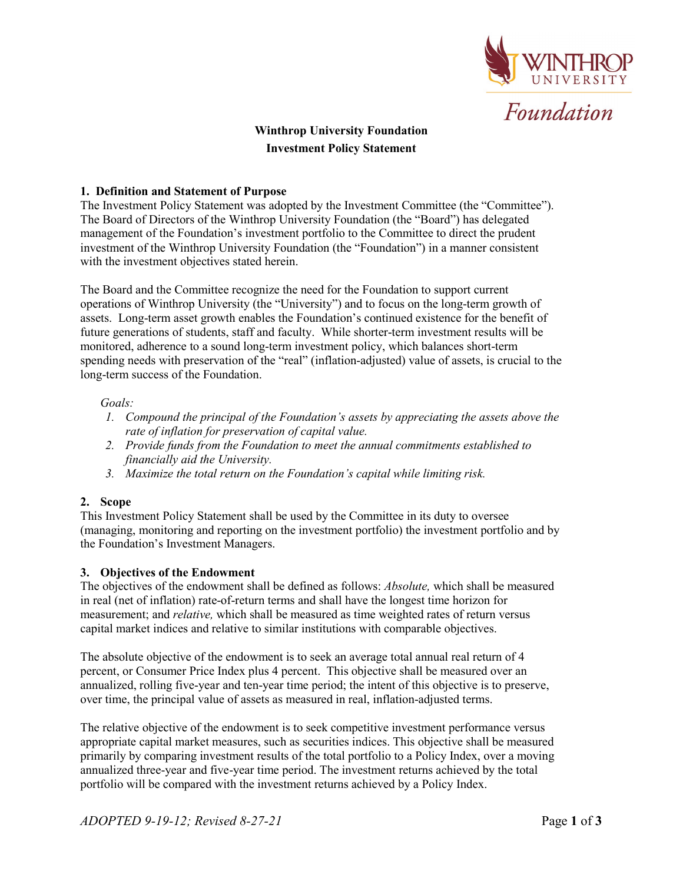

# **Winthrop University Foundation Investment Policy Statement**

# **1. Definition and Statement of Purpose**

The Investment Policy Statement was adopted by the Investment Committee (the "Committee"). The Board of Directors of the Winthrop University Foundation (the "Board") has delegated management of the Foundation's investment portfolio to the Committee to direct the prudent investment of the Winthrop University Foundation (the "Foundation") in a manner consistent with the investment objectives stated herein.

The Board and the Committee recognize the need for the Foundation to support current operations of Winthrop University (the "University") and to focus on the long-term growth of assets. Long-term asset growth enables the Foundation's continued existence for the benefit of future generations of students, staff and faculty. While shorter-term investment results will be monitored, adherence to a sound long-term investment policy, which balances short-term spending needs with preservation of the "real" (inflation-adjusted) value of assets, is crucial to the long-term success of the Foundation.

# *Goals:*

- *1. Compound the principal of the Foundation's assets by appreciating the assets above the rate of inflation for preservation of capital value.*
- *2. Provide funds from the Foundation to meet the annual commitments established to financially aid the University.*
- *3. Maximize the total return on the Foundation's capital while limiting risk.*

# **2. Scope**

This Investment Policy Statement shall be used by the Committee in its duty to oversee (managing, monitoring and reporting on the investment portfolio) the investment portfolio and by the Foundation's Investment Managers.

# **3. Objectives of the Endowment**

The objectives of the endowment shall be defined as follows: *Absolute,* which shall be measured in real (net of inflation) rate-of-return terms and shall have the longest time horizon for measurement; and *relative,* which shall be measured as time weighted rates of return versus capital market indices and relative to similar institutions with comparable objectives.

The absolute objective of the endowment is to seek an average total annual real return of 4 percent, or Consumer Price Index plus 4 percent. This objective shall be measured over an annualized, rolling five-year and ten-year time period; the intent of this objective is to preserve, over time, the principal value of assets as measured in real, inflation-adjusted terms.

The relative objective of the endowment is to seek competitive investment performance versus appropriate capital market measures, such as securities indices. This objective shall be measured primarily by comparing investment results of the total portfolio to a Policy Index, over a moving annualized three-year and five-year time period. The investment returns achieved by the total portfolio will be compared with the investment returns achieved by a Policy Index.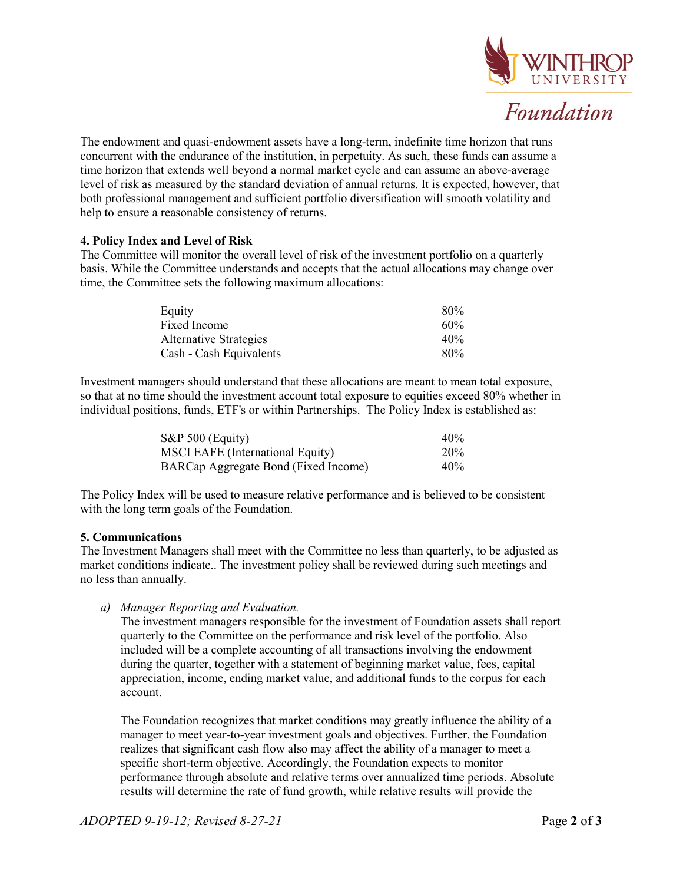

The endowment and quasi-endowment assets have a long-term, indefinite time horizon that runs concurrent with the endurance of the institution, in perpetuity. As such, these funds can assume a time horizon that extends well beyond a normal market cycle and can assume an above-average level of risk as measured by the standard deviation of annual returns. It is expected, however, that both professional management and sufficient portfolio diversification will smooth volatility and help to ensure a reasonable consistency of returns.

# **4. Policy Index and Level of Risk**

The Committee will monitor the overall level of risk of the investment portfolio on a quarterly basis. While the Committee understands and accepts that the actual allocations may change over time, the Committee sets the following maximum allocations:

| Equity                        | 80% |
|-------------------------------|-----|
| Fixed Income                  | 60% |
| <b>Alternative Strategies</b> | 40% |
| Cash - Cash Equivalents       | 80% |

Investment managers should understand that these allocations are meant to mean total exposure, so that at no time should the investment account total exposure to equities exceed 80% whether in individual positions, funds, ETF's or within Partnerships. The Policy Index is established as:

| $S\&P 500$ (Equity)                  | 40% |
|--------------------------------------|-----|
| MSCI EAFE (International Equity)     | 20% |
| BARCap Aggregate Bond (Fixed Income) | 40% |

The Policy Index will be used to measure relative performance and is believed to be consistent with the long term goals of the Foundation.

# **5. Communications**

The Investment Managers shall meet with the Committee no less than quarterly, to be adjusted as market conditions indicate.. The investment policy shall be reviewed during such meetings and no less than annually.

*a) Manager Reporting and Evaluation.* 

The investment managers responsible for the investment of Foundation assets shall report quarterly to the Committee on the performance and risk level of the portfolio. Also included will be a complete accounting of all transactions involving the endowment during the quarter, together with a statement of beginning market value, fees, capital appreciation, income, ending market value, and additional funds to the corpus for each account.

The Foundation recognizes that market conditions may greatly influence the ability of a manager to meet year-to-year investment goals and objectives. Further, the Foundation realizes that significant cash flow also may affect the ability of a manager to meet a specific short-term objective. Accordingly, the Foundation expects to monitor performance through absolute and relative terms over annualized time periods. Absolute results will determine the rate of fund growth, while relative results will provide the